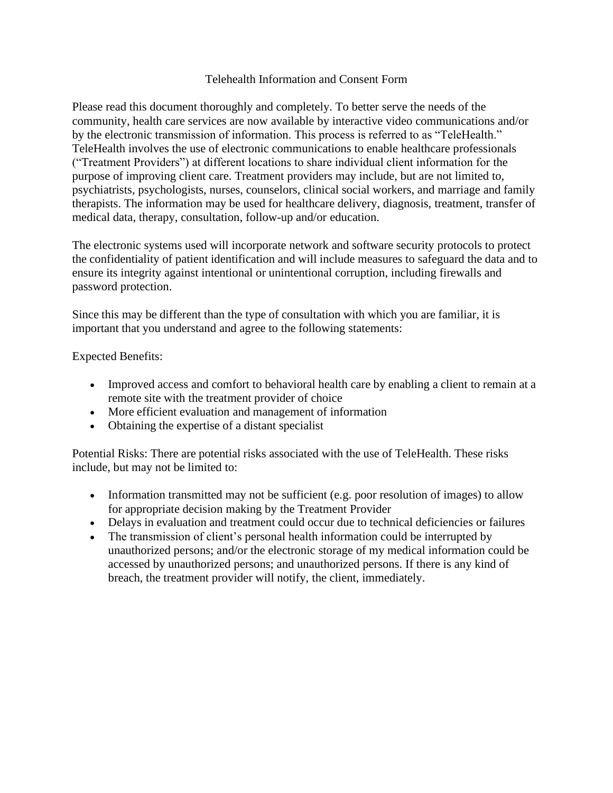## Telehealth Information and Consent Form

Please read this document thoroughly and completely. To better serve the needs of the community, health care services are now available by interactive video communications and/or by the electronic transmission of information. This process is referred to as "TeleHealth." TeleHealth involves the use of electronic communications to enable healthcare professionals ("Treatment Providers") at different locations to share individual client information for the purpose of improving client care. Treatment providers may include, but are not limited to, psychiatrists, psychologists, nurses, counselors, clinical social workers, and marriage and family therapists. The information may be used for healthcare delivery, diagnosis, treatment, transfer of medical data, therapy, consultation, follow-up and/or education.

The electronic systems used will incorporate network and software security protocols to protect the confidentiality of patient identification and will include measures to safeguard the data and to ensure its integrity against intentional or unintentional corruption, including firewalls and password protection.

Since this may be different than the type of consultation with which you are familiar, it is important that you understand and agree to the following statements:

Expected Benefits:

- Improved access and comfort to behavioral health care by enabling a client to remain at a remote site with the treatment provider of choice
- More efficient evaluation and management of information
- Obtaining the expertise of a distant specialist

Potential Risks: There are potential risks associated with the use of TeleHealth. These risks include, but may not be limited to:

- Information transmitted may not be sufficient (e.g. poor resolution of images) to allow for appropriate decision making by the Treatment Provider
- Delays in evaluation and treatment could occur due to technical deficiencies or failures
- The transmission of client's personal health information could be interrupted by unauthorized persons; and/or the electronic storage of my medical information could be accessed by unauthorized persons; and unauthorized persons. If there is any kind of breach, the treatment provider will notify, the client, immediately.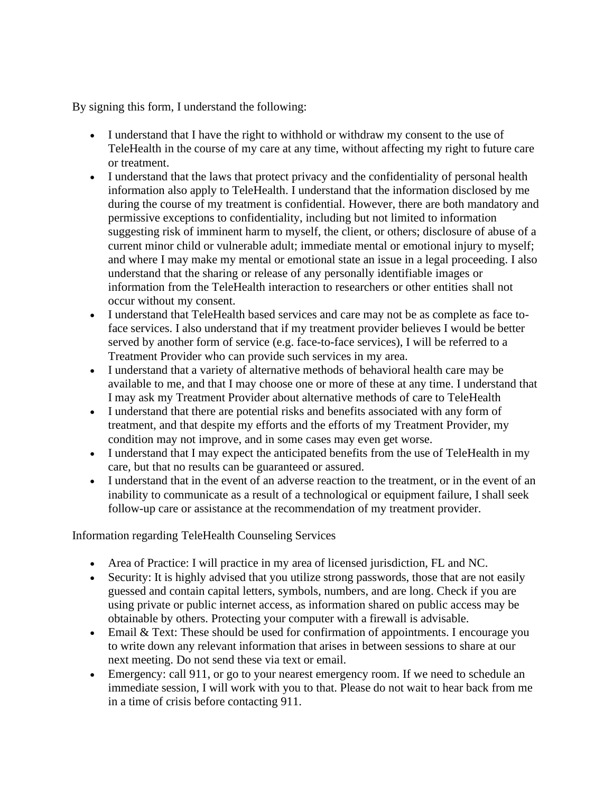By signing this form, I understand the following:

- I understand that I have the right to withhold or withdraw my consent to the use of TeleHealth in the course of my care at any time, without affecting my right to future care or treatment.
- I understand that the laws that protect privacy and the confidentiality of personal health information also apply to TeleHealth. I understand that the information disclosed by me during the course of my treatment is confidential. However, there are both mandatory and permissive exceptions to confidentiality, including but not limited to information suggesting risk of imminent harm to myself, the client, or others; disclosure of abuse of a current minor child or vulnerable adult; immediate mental or emotional injury to myself; and where I may make my mental or emotional state an issue in a legal proceeding. I also understand that the sharing or release of any personally identifiable images or information from the TeleHealth interaction to researchers or other entities shall not occur without my consent.
- I understand that TeleHealth based services and care may not be as complete as face toface services. I also understand that if my treatment provider believes I would be better served by another form of service (e.g. face-to-face services), I will be referred to a Treatment Provider who can provide such services in my area.
- I understand that a variety of alternative methods of behavioral health care may be available to me, and that I may choose one or more of these at any time. I understand that I may ask my Treatment Provider about alternative methods of care to TeleHealth
- I understand that there are potential risks and benefits associated with any form of treatment, and that despite my efforts and the efforts of my Treatment Provider, my condition may not improve, and in some cases may even get worse.
- I understand that I may expect the anticipated benefits from the use of TeleHealth in my care, but that no results can be guaranteed or assured.
- I understand that in the event of an adverse reaction to the treatment, or in the event of an inability to communicate as a result of a technological or equipment failure, I shall seek follow-up care or assistance at the recommendation of my treatment provider.

## Information regarding TeleHealth Counseling Services

- Area of Practice: I will practice in my area of licensed jurisdiction, FL and NC.
- Security: It is highly advised that you utilize strong passwords, those that are not easily guessed and contain capital letters, symbols, numbers, and are long. Check if you are using private or public internet access, as information shared on public access may be obtainable by others. Protecting your computer with a firewall is advisable.
- Email & Text: These should be used for confirmation of appointments. I encourage you to write down any relevant information that arises in between sessions to share at our next meeting. Do not send these via text or email.
- Emergency: call 911, or go to your nearest emergency room. If we need to schedule an immediate session, I will work with you to that. Please do not wait to hear back from me in a time of crisis before contacting 911.